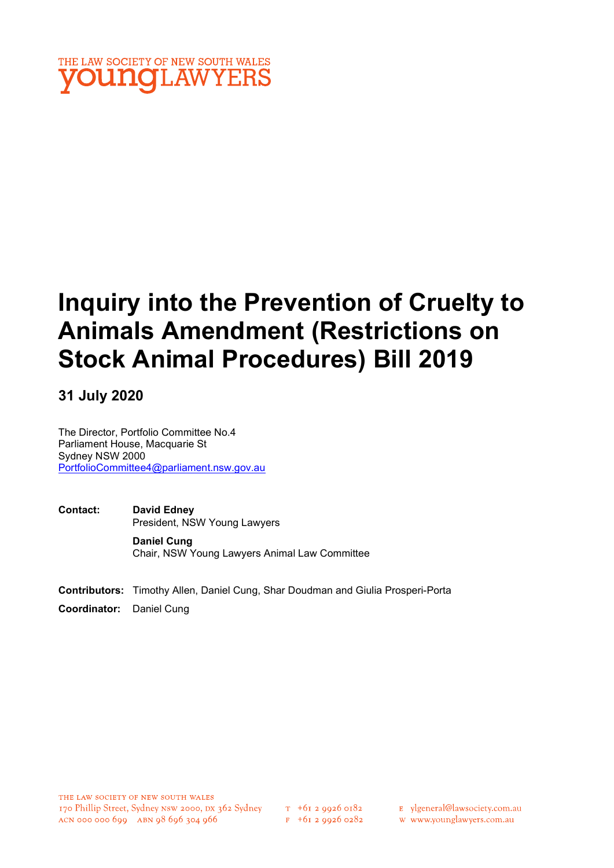

# Inquiry into the Prevention of Cruelty to Animals Amendment (Restrictions on Stock Animal Procedures) Bill 2019

## 31 July 2020

The Director, Portfolio Committee No.4 Parliament House, Macquarie St Sydney NSW 2000 PortfolioCommittee4@parliament.nsw.gov.au

- Contact: David Edney President, NSW Young Lawyers Daniel Cung
- Contributors: Timothy Allen, Daniel Cung, Shar Doudman and Giulia Prosperi-Porta

Chair, NSW Young Lawyers Animal Law Committee

Coordinator: Daniel Cung

 $T_{+61}$  2 0026 0182  $F$  +61 2 9926 0282

- E ylgeneral@lawsociety.com.au
- w www.younglawyers.com.au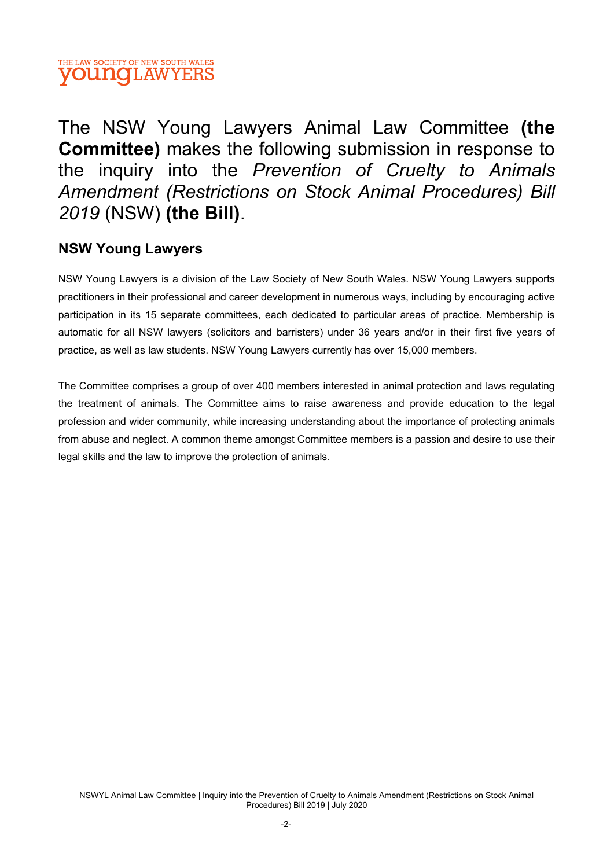

The NSW Young Lawyers Animal Law Committee (the Committee) makes the following submission in response to the inquiry into the Prevention of Cruelty to Animals Amendment (Restrictions on Stock Animal Procedures) Bill 2019 (NSW) (the Bill).

## NSW Young Lawyers

NSW Young Lawyers is a division of the Law Society of New South Wales. NSW Young Lawyers supports practitioners in their professional and career development in numerous ways, including by encouraging active participation in its 15 separate committees, each dedicated to particular areas of practice. Membership is automatic for all NSW lawyers (solicitors and barristers) under 36 years and/or in their first five years of practice, as well as law students. NSW Young Lawyers currently has over 15,000 members.

The Committee comprises a group of over 400 members interested in animal protection and laws regulating the treatment of animals. The Committee aims to raise awareness and provide education to the legal profession and wider community, while increasing understanding about the importance of protecting animals from abuse and neglect. A common theme amongst Committee members is a passion and desire to use their legal skills and the law to improve the protection of animals.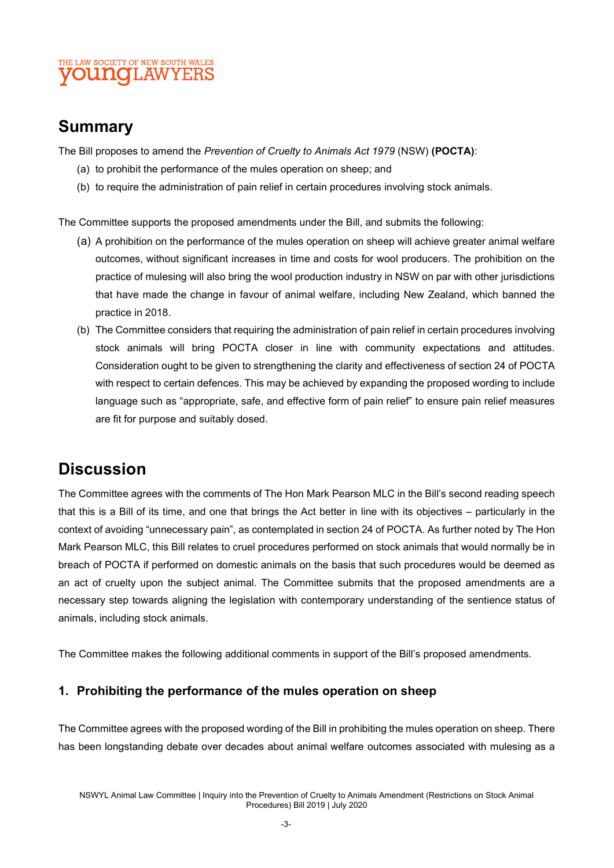#### THE LAW SOCIETY OF NEW SOUTH WALES **OUNCLAWYERS**

# Summary

The Bill proposes to amend the Prevention of Cruelty to Animals Act 1979 (NSW) (POCTA):

- (a) to prohibit the performance of the mules operation on sheep; and
- (b) to require the administration of pain relief in certain procedures involving stock animals.

The Committee supports the proposed amendments under the Bill, and submits the following:

- (a) A prohibition on the performance of the mules operation on sheep will achieve greater animal welfare outcomes, without significant increases in time and costs for wool producers. The prohibition on the practice of mulesing will also bring the wool production industry in NSW on par with other jurisdictions that have made the change in favour of animal welfare, including New Zealand, which banned the practice in 2018.
- (b) The Committee considers that requiring the administration of pain relief in certain procedures involving stock animals will bring POCTA closer in line with community expectations and attitudes. Consideration ought to be given to strengthening the clarity and effectiveness of section 24 of POCTA with respect to certain defences. This may be achieved by expanding the proposed wording to include language such as "appropriate, safe, and effective form of pain relief" to ensure pain relief measures are fit for purpose and suitably dosed.

# **Discussion**

The Committee agrees with the comments of The Hon Mark Pearson MLC in the Bill's second reading speech that this is a Bill of its time, and one that brings the Act better in line with its objectives – particularly in the context of avoiding "unnecessary pain", as contemplated in section 24 of POCTA. As further noted by The Hon Mark Pearson MLC, this Bill relates to cruel procedures performed on stock animals that would normally be in breach of POCTA if performed on domestic animals on the basis that such procedures would be deemed as an act of cruelty upon the subject animal. The Committee submits that the proposed amendments are a necessary step towards aligning the legislation with contemporary understanding of the sentience status of animals, including stock animals.

The Committee makes the following additional comments in support of the Bill's proposed amendments.

#### 1. Prohibiting the performance of the mules operation on sheep

The Committee agrees with the proposed wording of the Bill in prohibiting the mules operation on sheep. There has been longstanding debate over decades about animal welfare outcomes associated with mulesing as a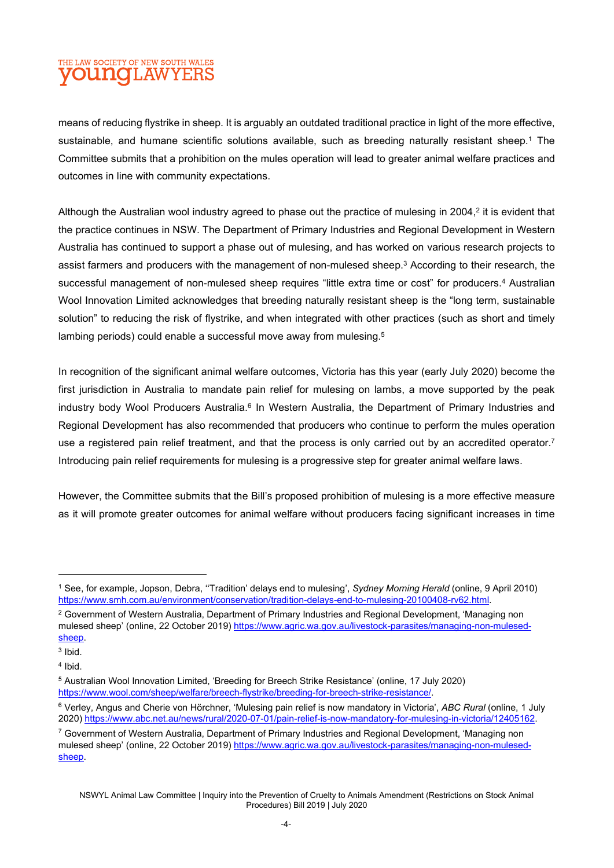#### THE LAW SOCIETY OF NEW SOUTH WALES **OUNCLAWYERS**

means of reducing flystrike in sheep. It is arguably an outdated traditional practice in light of the more effective, sustainable, and humane scientific solutions available, such as breeding naturally resistant sheep.<sup>1</sup> The Committee submits that a prohibition on the mules operation will lead to greater animal welfare practices and outcomes in line with community expectations.

Although the Australian wool industry agreed to phase out the practice of mulesing in 2004,<sup>2</sup> it is evident that the practice continues in NSW. The Department of Primary Industries and Regional Development in Western Australia has continued to support a phase out of mulesing, and has worked on various research projects to assist farmers and producers with the management of non-mulesed sheep.<sup>3</sup> According to their research, the successful management of non-mulesed sheep requires "little extra time or cost" for producers.<sup>4</sup> Australian Wool Innovation Limited acknowledges that breeding naturally resistant sheep is the "long term, sustainable solution" to reducing the risk of flystrike, and when integrated with other practices (such as short and timely lambing periods) could enable a successful move away from mulesing.<sup>5</sup>

In recognition of the significant animal welfare outcomes, Victoria has this year (early July 2020) become the first jurisdiction in Australia to mandate pain relief for mulesing on lambs, a move supported by the peak industry body Wool Producers Australia.<sup>6</sup> In Western Australia, the Department of Primary Industries and Regional Development has also recommended that producers who continue to perform the mules operation use a registered pain relief treatment, and that the process is only carried out by an accredited operator.<sup>7</sup> Introducing pain relief requirements for mulesing is a progressive step for greater animal welfare laws.

However, the Committee submits that the Bill's proposed prohibition of mulesing is a more effective measure as it will promote greater outcomes for animal welfare without producers facing significant increases in time

<sup>&</sup>lt;sup>1</sup> See, for example, Jopson, Debra, "Tradition' delays end to mulesing', Sydney Morning Herald (online, 9 April 2010) https://www.smh.com.au/environment/conservation/tradition-delays-end-to-mulesing-20100408-rv62.html.

 $^2$  Government of Western Australia, Department of Primary Industries and Regional Development, 'Managing non mulesed sheep' (online, 22 October 2019) https://www.agric.wa.gov.au/livestock-parasites/managing-non-mulesedsheep.

 $3$  Ibid.

<sup>4</sup> Ibid.

<sup>5</sup> Australian Wool Innovation Limited, 'Breeding for Breech Strike Resistance' (online, 17 July 2020) https://www.wool.com/sheep/welfare/breech-flystrike/breeding-for-breech-strike-resistance/.

<sup>&</sup>lt;sup>6</sup> Verley, Angus and Cherie von Hörchner, 'Mulesing pain relief is now mandatory in Victoria', ABC Rural (online, 1 July 2020) https://www.abc.net.au/news/rural/2020-07-01/pain-relief-is-now-mandatory-for-mulesing-in-victoria/12405162.

<sup>7</sup> Government of Western Australia, Department of Primary Industries and Regional Development, 'Managing non mulesed sheep' (online, 22 October 2019) https://www.agric.wa.gov.au/livestock-parasites/managing-non-mulesedsheep.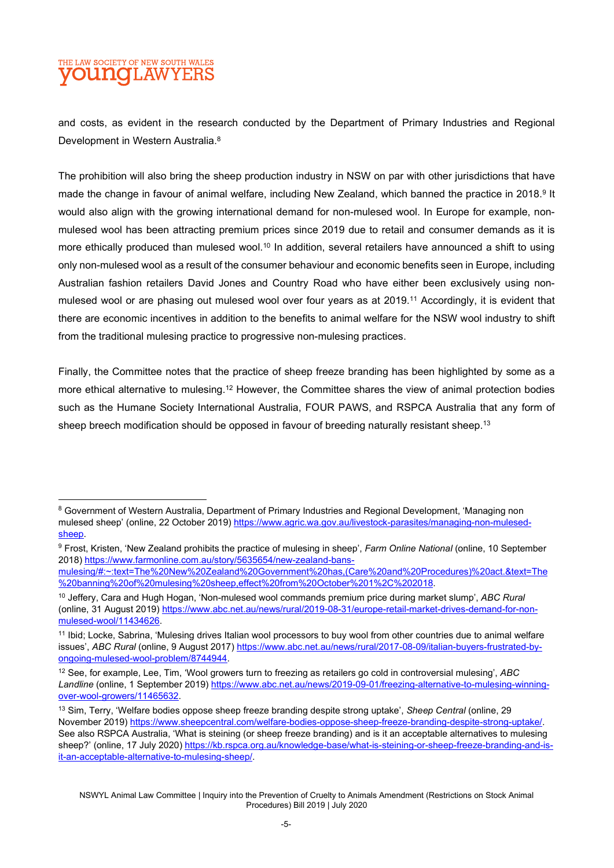#### THE LAW SOCIETY OF NEW SOUTH WALES **OUNCLAWYERS**

and costs, as evident in the research conducted by the Department of Primary Industries and Regional Development in Western Australia.<sup>8</sup>

The prohibition will also bring the sheep production industry in NSW on par with other jurisdictions that have made the change in favour of animal welfare, including New Zealand, which banned the practice in 2018.<sup>9</sup> It would also align with the growing international demand for non-mulesed wool. In Europe for example, nonmulesed wool has been attracting premium prices since 2019 due to retail and consumer demands as it is more ethically produced than mulesed wool.<sup>10</sup> In addition, several retailers have announced a shift to using only non-mulesed wool as a result of the consumer behaviour and economic benefits seen in Europe, including Australian fashion retailers David Jones and Country Road who have either been exclusively using nonmulesed wool or are phasing out mulesed wool over four years as at 2019.<sup>11</sup> Accordingly, it is evident that there are economic incentives in addition to the benefits to animal welfare for the NSW wool industry to shift from the traditional mulesing practice to progressive non-mulesing practices.

Finally, the Committee notes that the practice of sheep freeze branding has been highlighted by some as a more ethical alternative to mulesing.<sup>12</sup> However, the Committee shares the view of animal protection bodies such as the Humane Society International Australia, FOUR PAWS, and RSPCA Australia that any form of sheep breech modification should be opposed in favour of breeding naturally resistant sheep.<sup>13</sup>

 $^8$  Government of Western Australia, Department of Primary Industries and Regional Development, 'Managing non mulesed sheep' (online, 22 October 2019) https://www.agric.wa.gov.au/livestock-parasites/managing-non-mulesedsheep.

<sup>&</sup>lt;sup>9</sup> Frost, Kristen, 'New Zealand prohibits the practice of mulesing in sheep', *Farm Online National* (online, 10 September 2018) https://www.farmonline.com.au/story/5635654/new-zealand-bans-

mulesing/#:~:text=The%20New%20Zealand%20Government%20has,(Care%20and%20Procedures)%20act.&text=The %20banning%20of%20mulesing%20sheep,effect%20from%20October%201%2C%202018.

<sup>&</sup>lt;sup>10</sup> Jeffery, Cara and Hugh Hogan, 'Non-mulesed wool commands premium price during market slump', ABC Rural (online, 31 August 2019) https://www.abc.net.au/news/rural/2019-08-31/europe-retail-market-drives-demand-for-nonmulesed-wool/11434626.

<sup>11</sup> Ibid; Locke, Sabrina, 'Mulesing drives Italian wool processors to buy wool from other countries due to animal welfare issues', ABC Rural (online, 9 August 2017) https://www.abc.net.au/news/rural/2017-08-09/italian-buyers-frustrated-byongoing-mulesed-wool-problem/8744944.

 $12$  See, for example, Lee, Tim, 'Wool growers turn to freezing as retailers go cold in controversial mulesing', ABC Landline (online, 1 September 2019) https://www.abc.net.au/news/2019-09-01/freezing-alternative-to-mulesing-winningover-wool-growers/11465632.

<sup>&</sup>lt;sup>13</sup> Sim, Terry, 'Welfare bodies oppose sheep freeze branding despite strong uptake', Sheep Central (online, 29 November 2019) https://www.sheepcentral.com/welfare-bodies-oppose-sheep-freeze-branding-despite-strong-uptake/. See also RSPCA Australia, 'What is steining (or sheep freeze branding) and is it an acceptable alternatives to mulesing sheep?' (online, 17 July 2020) https://kb.rspca.org.au/knowledge-base/what-is-steining-or-sheep-freeze-branding-and-isit-an-acceptable-alternative-to-mulesing-sheep/.

NSWYL Animal Law Committee | Inquiry into the Prevention of Cruelty to Animals Amendment (Restrictions on Stock Animal Procedures) Bill 2019 | July 2020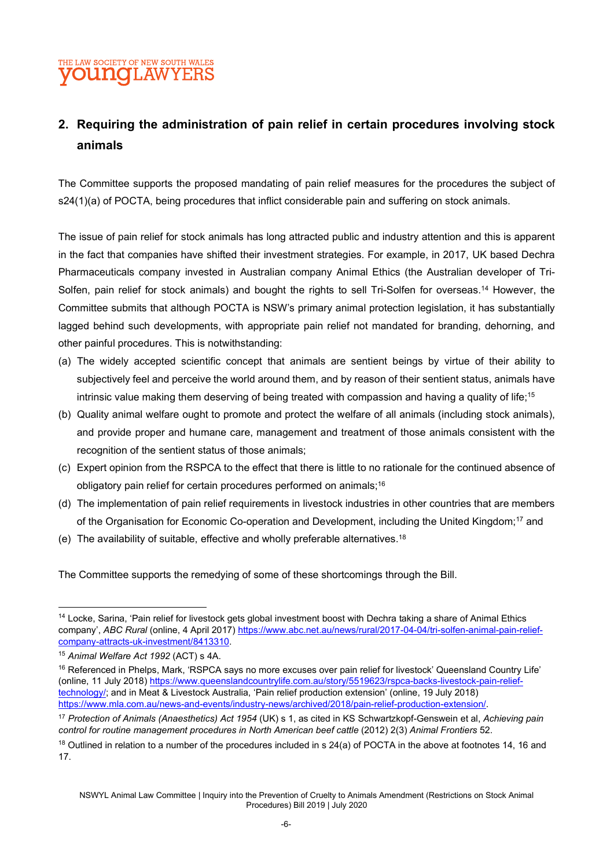#### THE LAW SOCIETY OF NEW SOUTH WALES **OUNCILAWYE**

# 2. Requiring the administration of pain relief in certain procedures involving stock animals

The Committee supports the proposed mandating of pain relief measures for the procedures the subject of s24(1)(a) of POCTA, being procedures that inflict considerable pain and suffering on stock animals.

The issue of pain relief for stock animals has long attracted public and industry attention and this is apparent in the fact that companies have shifted their investment strategies. For example, in 2017, UK based Dechra Pharmaceuticals company invested in Australian company Animal Ethics (the Australian developer of Tri-Solfen, pain relief for stock animals) and bought the rights to sell Tri-Solfen for overseas.<sup>14</sup> However, the Committee submits that although POCTA is NSW's primary animal protection legislation, it has substantially lagged behind such developments, with appropriate pain relief not mandated for branding, dehorning, and other painful procedures. This is notwithstanding:

- (a) The widely accepted scientific concept that animals are sentient beings by virtue of their ability to subjectively feel and perceive the world around them, and by reason of their sentient status, animals have intrinsic value making them deserving of being treated with compassion and having a quality of life;<sup>15</sup>
- (b) Quality animal welfare ought to promote and protect the welfare of all animals (including stock animals), and provide proper and humane care, management and treatment of those animals consistent with the recognition of the sentient status of those animals;
- (c) Expert opinion from the RSPCA to the effect that there is little to no rationale for the continued absence of obligatory pain relief for certain procedures performed on animals;<sup>16</sup>
- (d) The implementation of pain relief requirements in livestock industries in other countries that are members of the Organisation for Economic Co-operation and Development, including the United Kingdom;<sup>17</sup> and
- (e) The availability of suitable, effective and wholly preferable alternatives.<sup>18</sup>

The Committee supports the remedying of some of these shortcomings through the Bill.

<sup>&</sup>lt;sup>14</sup> Locke, Sarina, 'Pain relief for livestock gets global investment boost with Dechra taking a share of Animal Ethics company', ABC Rural (online, 4 April 2017) https://www.abc.net.au/news/rural/2017-04-04/tri-solfen-animal-pain-reliefcompany-attracts-uk-investment/8413310.

<sup>15</sup> Animal Welfare Act 1992 (ACT) s 4A.

<sup>&</sup>lt;sup>16</sup> Referenced in Phelps, Mark, 'RSPCA says no more excuses over pain relief for livestock' Queensland Country Life' (online, 11 July 2018) https://www.queenslandcountrylife.com.au/story/5519623/rspca-backs-livestock-pain-relieftechnology/; and in Meat & Livestock Australia, 'Pain relief production extension' (online, 19 July 2018) https://www.mla.com.au/news-and-events/industry-news/archived/2018/pain-relief-production-extension/.

<sup>&</sup>lt;sup>17</sup> Protection of Animals (Anaesthetics) Act 1954 (UK) s 1, as cited in KS Schwartzkopf-Genswein et al, Achieving pain control for routine management procedures in North American beef cattle (2012) 2(3) Animal Frontiers 52.

 $18$  Outlined in relation to a number of the procedures included in s 24(a) of POCTA in the above at footnotes 14, 16 and 17.

NSWYL Animal Law Committee | Inquiry into the Prevention of Cruelty to Animals Amendment (Restrictions on Stock Animal Procedures) Bill 2019 | July 2020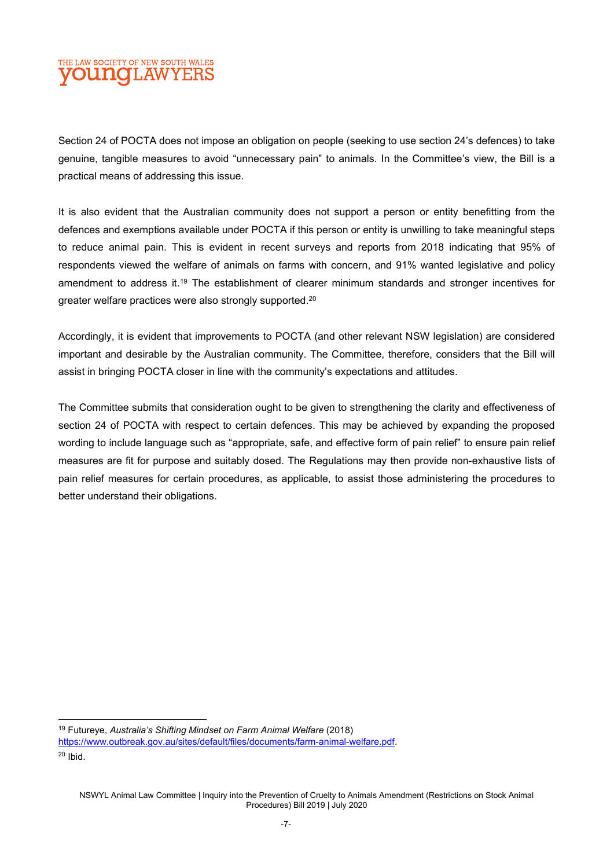#### THE LAW SOCIETY OF NEW SOUTH WALES **YOUNG**LAWYERS

Section 24 of POCTA does not impose an obligation on people (seeking to use section 24's defences) to take genuine, tangible measures to avoid "unnecessary pain" to animals. In the Committee's view, the Bill is a practical means of addressing this issue.

It is also evident that the Australian community does not support a person or entity benefitting from the defences and exemptions available under POCTA if this person or entity is unwilling to take meaningful steps to reduce animal pain. This is evident in recent surveys and reports from 2018 indicating that 95% of respondents viewed the welfare of animals on farms with concern, and 91% wanted legislative and policy amendment to address it.<sup>19</sup> The establishment of clearer minimum standards and stronger incentives for greater welfare practices were also strongly supported.<sup>20</sup>

Accordingly, it is evident that improvements to POCTA (and other relevant NSW legislation) are considered important and desirable by the Australian community. The Committee, therefore, considers that the Bill will assist in bringing POCTA closer in line with the community's expectations and attitudes.

The Committee submits that consideration ought to be given to strengthening the clarity and effectiveness of section 24 of POCTA with respect to certain defences. This may be achieved by expanding the proposed wording to include language such as "appropriate, safe, and effective form of pain relief" to ensure pain relief measures are fit for purpose and suitably dosed. The Regulations may then provide non-exhaustive lists of pain relief measures for certain procedures, as applicable, to assist those administering the procedures to better understand their obligations.

<sup>&</sup>lt;sup>19</sup> Futureye, Australia's Shifting Mindset on Farm Animal Welfare (2018) https://www.outbreak.gov.au/sites/default/files/documents/farm-animal-welfare.pdf.

 $20$  Ibid.

NSWYL Animal Law Committee | Inquiry into the Prevention of Cruelty to Animals Amendment (Restrictions on Stock Animal Procedures) Bill 2019 | July 2020